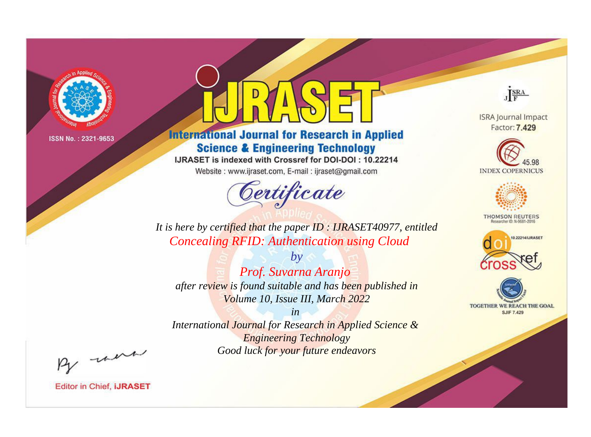

# **International Journal for Research in Applied Science & Engineering Technology**

IJRASET is indexed with Crossref for DOI-DOI: 10.22214

Website: www.ijraset.com, E-mail: ijraset@gmail.com



JERA

**ISRA Journal Impact** Factor: 7.429





**THOMSON REUTERS** 



TOGETHER WE REACH THE GOAL **SJIF 7.429** 

*It is here by certified that the paper ID : IJRASET40977, entitled Concealing RFID: Authentication using Cloud*

*Prof. Suvarna Aranjo after review is found suitable and has been published in Volume 10, Issue III, March 2022*

*by*

*in* 

*International Journal for Research in Applied Science & Engineering Technology Good luck for your future endeavors*

By morn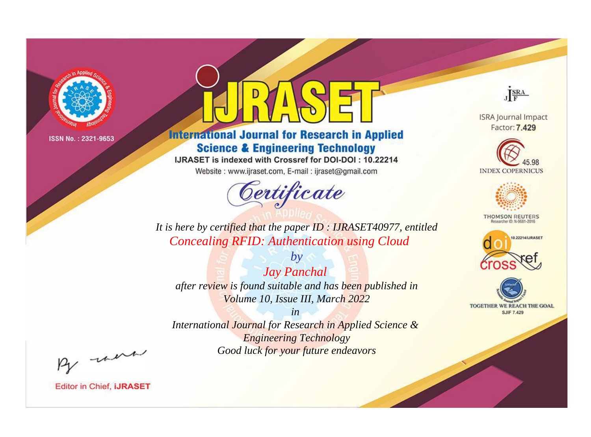

# **International Journal for Research in Applied Science & Engineering Technology**

IJRASET is indexed with Crossref for DOI-DOI: 10.22214

Website: www.ijraset.com, E-mail: ijraset@gmail.com



JERA

**ISRA Journal Impact** Factor: 7.429





**THOMSON REUTERS** 



TOGETHER WE REACH THE GOAL **SJIF 7.429** 

*It is here by certified that the paper ID : IJRASET40977, entitled Concealing RFID: Authentication using Cloud*

*Jay Panchal after review is found suitable and has been published in Volume 10, Issue III, March 2022*

*by*

*in* 

*International Journal for Research in Applied Science & Engineering Technology Good luck for your future endeavors*

By morn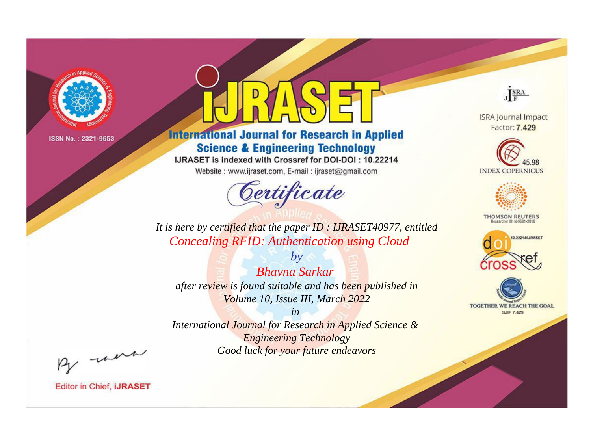

# **International Journal for Research in Applied Science & Engineering Technology**

IJRASET is indexed with Crossref for DOI-DOI: 10.22214

Website: www.ijraset.com, E-mail: ijraset@gmail.com



JERA

**ISRA Journal Impact** Factor: 7.429





**THOMSON REUTERS** 



TOGETHER WE REACH THE GOAL **SJIF 7.429** 

It is here by certified that the paper ID: IJRASET40977, entitled **Concealing RFID: Authentication using Cloud** 

**Bhavna Sarkar** after review is found suitable and has been published in Volume 10, Issue III, March 2022

 $b\nu$ 

 $in$ International Journal for Research in Applied Science & **Engineering Technology** Good luck for your future endeavors

By morn